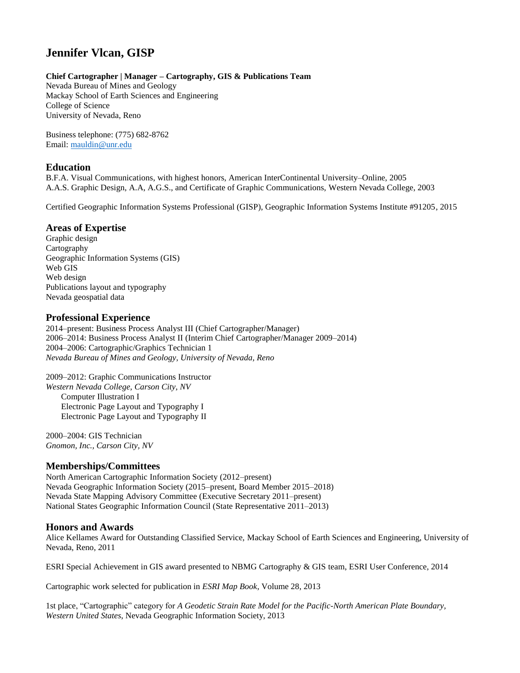# **Jennifer Vlcan, GISP**

## **Chief Cartographer | Manager – Cartography, GIS & Publications Team**

Nevada Bureau of Mines and Geology Mackay School of Earth Sciences and Engineering College of Science University of Nevada, Reno

Business telephone: (775) 682-8762 Email: [mauldin@unr.edu](mailto:mauldin@unr.edu)

# **Education**

B.F.A. Visual Communications, with highest honors, American InterContinental University–Online, 2005 A.A.S. Graphic Design, A.A, A.G.S., and Certificate of Graphic Communications, Western Nevada College, 2003

Certified Geographic Information Systems Professional (GISP), Geographic Information Systems Institute #91205, 2015

# **Areas of Expertise**

Graphic design Cartography Geographic Information Systems (GIS) Web GIS Web design Publications layout and typography Nevada geospatial data

# **Professional Experience**

2014–present: Business Process Analyst III (Chief Cartographer/Manager) 2006–2014: Business Process Analyst II (Interim Chief Cartographer/Manager 2009–2014) 2004–2006: Cartographic/Graphics Technician 1 *Nevada Bureau of Mines and Geology, University of Nevada, Reno*

2009–2012: Graphic Communications Instructor *Western Nevada College, Carson City, NV* Computer Illustration I Electronic Page Layout and Typography I Electronic Page Layout and Typography II

2000–2004: GIS Technician *Gnomon, Inc., Carson City, NV*

# **Memberships/Committees**

North American Cartographic Information Society (2012–present) Nevada Geographic Information Society (2015–present, Board Member 2015–2018) Nevada State Mapping Advisory Committee (Executive Secretary 2011–present) National States Geographic Information Council (State Representative 2011–2013)

# **Honors and Awards**

Alice Kellames Award for Outstanding Classified Service, Mackay School of Earth Sciences and Engineering, University of Nevada, Reno, 2011

ESRI Special Achievement in GIS award presented to NBMG Cartography & GIS team, ESRI User Conference, 2014

Cartographic work selected for publication in *ESRI Map Book*, Volume 28, 2013

1st place, "Cartographic" category for *A Geodetic Strain Rate Model for the Pacific-North American Plate Boundary, Western United States*, Nevada Geographic Information Society, 2013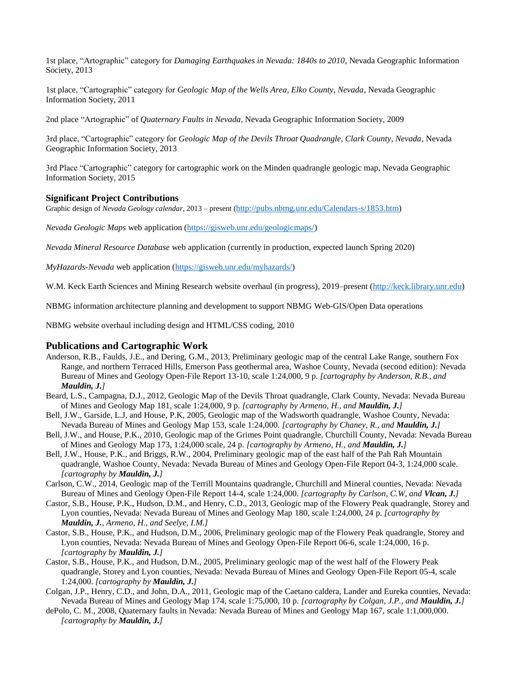1st place, "Artographic" category for *Damaging Earthquakes in Nevada: 1840s to 2010*, Nevada Geographic Information Society, 2013

1st place, "Cartographic" category for *Geologic Map of the Wells Area, Elko County, Nevada*, Nevada Geographic Information Society, 2011

2nd place "Artographic" of *Quaternary Faults in Nevada*, Nevada Geographic Information Society, 2009

3rd place, "Cartographic" category for *Geologic Map of the Devils Throat Quadrangle, Clark County, Nevada*, Nevada Geographic Information Society, 2013

3rd Place "Cartographic" category for cartographic work on the Minden quadrangle geologic map, Nevada Geographic Information Society, 2015

#### **Significant Project Contributions**

Graphic design of *Nevada Geology calendar*, 2013 – present ([http://pubs.nbmg.unr.edu/Calendars-s/1853.htm\)](http://pubs.nbmg.unr.edu/Calendars-s/1853.htm)

*Nevada Geologic Maps* web application [\(https://gisweb.unr.edu/geologicmaps/\)](https://gisweb.unr.edu/geologicmaps/)

*Nevada Mineral Resource Database* web application (currently in production, expected launch Spring 2020)

*MyHazards-Nevada* web application [\(https://gisweb.unr.edu/myhazards/\)](https://gisweb.unr.edu/myhazards/)

W.M. Keck Earth Sciences and Mining Research website overhaul (in progress), 2019–present [\(http://keck.library.unr.edu\)](http://keck.library.unr.edu/)

NBMG information architecture planning and development to support NBMG Web-GIS/Open Data operations

NBMG website overhaul including design and HTML/CSS coding, 2010

## **Publications and Cartographic Work**

- Anderson, R.B., Faulds, J.E., and Dering, G.M., 2013, Preliminary geologic map of the central Lake Range, southern Fox Range, and northern Terraced Hills, Emerson Pass geothermal area, Washoe County, Nevada (second edition): Nevada Bureau of Mines and Geology Open-File Report 13-10, scale 1:24,000, 9 p. *[cartography by Anderson, R.B., and Mauldin, J.]*
- Beard, L.S., Campagna, D.J., 2012, Geologic Map of the Devils Throat quadrangle, Clark County, Nevada: Nevada Bureau of Mines and Geology Map 181, scale 1:24,000, 9 p. *[cartography by Armeno, H., and Mauldin, J.]*
- Bell, J.W., Garside, L.J, and House, P.K, 2005, Geologic map of the Wadsworth quadrangle, Washoe County, Nevada: Nevada Bureau of Mines and Geology Map 153, scale 1:24,000. *[cartography by Chaney, R., and Mauldin, J.]*
- Bell, J.W., and House, P.K., 2010, Geologic map of the Grimes Point quadrangle, Churchill County, Nevada: Nevada Bureau of Mines and Geology Map 173, 1:24,000 scale, 24 p. *[cartography by Armeno, H., and Mauldin, J.]*
- Bell, J.W., House, P.K., and Briggs, R.W., 2004, Preliminary geologic map of the east half of the Pah Rah Mountain quadrangle, Washoe County, Nevada: Nevada Bureau of Mines and Geology Open-File Report 04-3, 1:24,000 scale. *[cartography by Mauldin, J.]*
- Carlson, C.W., 2014, Geologic map of the Terrill Mountains quadrangle, Churchill and Mineral counties, Nevada: Nevada Bureau of Mines and Geology Open-File Report 14-4, scale 1:24,000. *[cartography by Carlson, C.W, and Vlcan, J.]*
- Castor, S.B., House, P.K., Hudson, D.M., and Henry, C.D., 2013, Geologic map of the Flowery Peak quadrangle, Storey and Lyon counties, Nevada: Nevada Bureau of Mines and Geology Map 180, scale 1:24,000, 24 p. *[cartography by Mauldin, J., Armeno, H., and Seelye, I.M.]*
- Castor, S.B., House, P.K., and Hudson, D.M., 2006, Preliminary geologic map of the Flowery Peak quadrangle, Storey and Lyon counties, Nevada: Nevada Bureau of Mines and Geology Open-File Report 06-6, scale 1:24,000, 16 p. *[cartography by Mauldin, J.]*
- Castor, S.B., House, P.K., and Hudson, D.M., 2005, Preliminary geologic map of the west half of the Flowery Peak quadrangle, Storey and Lyon counties, Nevada: Nevada Bureau of Mines and Geology Open-File Report 05-4, scale 1:24,000. *[cartography by Mauldin, J.]*
- Colgan, J.P., Henry, C.D., and John, D.A., 2011, Geologic map of the Caetano caldera, Lander and Eureka counties, Nevada: Nevada Bureau of Mines and Geology Map 174, scale 1:75,000, 10 p. *[cartography by Colgan, J.P., and Mauldin, J.]*
- dePolo, C. M., 2008, Quaternary faults in Nevada: Nevada Bureau of Mines and Geology Map 167, scale 1:1,000,000. *[cartography by Mauldin, J.]*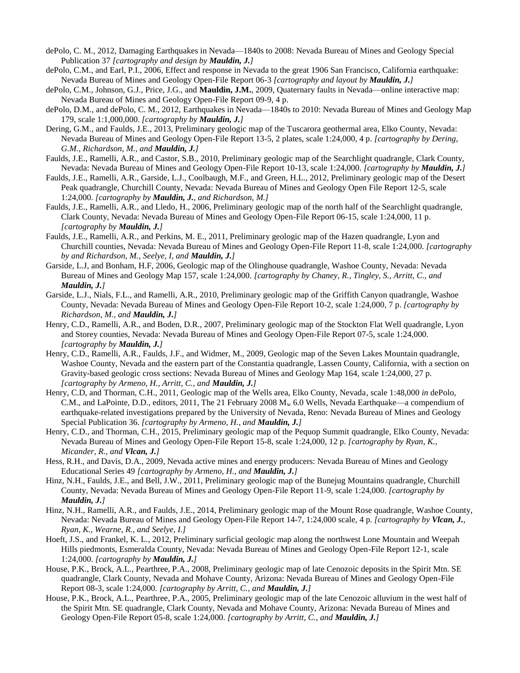- dePolo, C. M., 2012, Damaging Earthquakes in Nevada—1840s to 2008: Nevada Bureau of Mines and Geology Special Publication 37 *[cartography and design by Mauldin, J.]*
- dePolo, C.M., and Earl, P.I., 2006, Effect and response in Nevada to the great 1906 San Francisco, California earthquake: Nevada Bureau of Mines and Geology Open-File Report 06-3 *[cartography and layout by Mauldin, J.]*
- dePolo, C.M., Johnson, G.J., Price, J.G., and **Mauldin, J.M.**, 2009, Quaternary faults in Nevada—online interactive map: Nevada Bureau of Mines and Geology Open-File Report 09-9, 4 p.
- dePolo, D.M., and dePolo, C. M., 2012, Earthquakes in Nevada—1840s to 2010: Nevada Bureau of Mines and Geology Map 179, scale 1:1,000,000. *[cartography by Mauldin, J.]*
- Dering, G.M., and Faulds, J.E., 2013, Preliminary geologic map of the Tuscarora geothermal area, Elko County, Nevada: Nevada Bureau of Mines and Geology Open-File Report 13-5, 2 plates, scale 1:24,000, 4 p. *[cartography by Dering, G.M., Richardson, M., and Mauldin, J.]*
- Faulds, J.E., Ramelli, A.R., and Castor, S.B., 2010, Preliminary geologic map of the Searchlight quadrangle, Clark County, Nevada: Nevada Bureau of Mines and Geology Open-File Report 10-13, scale 1:24,000. *[cartography by Mauldin, J.]*
- Faulds, J.E., Ramelli, A.R., Garside, L.J., Coolbaugh, M.F., and Green, H.L., 2012, Preliminary geologic map of the Desert Peak quadrangle, Churchill County, Nevada: Nevada Bureau of Mines and Geology Open File Report 12-5, scale 1:24,000. *[cartography by Mauldin, J., and Richardson, M.]*
- Faulds, J.E., Ramelli, A.R., and Lledo, H., 2006, Preliminary geologic map of the north half of the Searchlight quadrangle, Clark County, Nevada: Nevada Bureau of Mines and Geology Open-File Report 06-15, scale 1:24,000, 11 p. *[cartography by Mauldin, J.]*
- Faulds, J.E., Ramelli, A.R., and Perkins, M. E., 2011, Preliminary geologic map of the Hazen quadrangle, Lyon and Churchill counties, Nevada: Nevada Bureau of Mines and Geology Open-File Report 11-8, scale 1:24,000. *[cartography by and Richardson, M., Seelye, I, and Mauldin, J.]*
- Garside, L.J, and Bonham, H.F, 2006, Geologic map of the Olinghouse quadrangle, Washoe County, Nevada: Nevada Bureau of Mines and Geology Map 157, scale 1:24,000. *[cartography by Chaney, R., Tingley, S., Arritt, C., and Mauldin, J.]*
- Garside, L.J., Nials, F.L., and Ramelli, A.R., 2010, Preliminary geologic map of the Griffith Canyon quadrangle, Washoe County, Nevada: Nevada Bureau of Mines and Geology Open-File Report 10-2, scale 1:24,000, 7 p. *[cartography by Richardson, M., and Mauldin, J.]*
- Henry, C.D., Ramelli, A.R., and Boden, D.R., 2007, Preliminary geologic map of the Stockton Flat Well quadrangle, Lyon and Storey counties, Nevada: Nevada Bureau of Mines and Geology Open-File Report 07-5, scale 1:24,000. *[cartography by Mauldin, J.]*
- Henry, C.D., Ramelli, A.R., Faulds, J.F., and Widmer, M., 2009, Geologic map of the Seven Lakes Mountain quadrangle, Washoe County, Nevada and the eastern part of the Constantia quadrangle, Lassen County, California, with a section on Gravity-based geologic cross sections: Nevada Bureau of Mines and Geology Map 164, scale 1:24,000, 27 p. *[cartography by Armeno, H., Arritt, C., and Mauldin, J.]*
- Henry, C.D, and Thorman, C.H., 2011, Geologic map of the Wells area, Elko County, Nevada, scale 1:48,000 *in* dePolo, C.M., and LaPointe, D.D., editors, 2011, The 21 February 2008 M<sub>w</sub> 6.0 Wells, Nevada Earthquake—a compendium of earthquake-related investigations prepared by the University of Nevada, Reno: Nevada Bureau of Mines and Geology Special Publication 36. *[cartography by Armeno, H., and Mauldin, J.]*
- Henry, C.D., and Thorman, C.H., 2015, Preliminary geologic map of the Pequop Summit quadrangle, Elko County, Nevada: Nevada Bureau of Mines and Geology Open-File Report 15-8, scale 1:24,000, 12 p. *[cartography by Ryan, K., Micander, R., and Vlcan, J.]*
- Hess, R.H., and Davis, D.A., 2009, Nevada active mines and energy producers: Nevada Bureau of Mines and Geology Educational Series 49 *[cartography by Armeno, H., and Mauldin, J.]*
- Hinz, N.H., Faulds, J.E., and Bell, J.W., 2011, Preliminary geologic map of the Bunejug Mountains quadrangle, Churchill County, Nevada: Nevada Bureau of Mines and Geology Open-File Report 11-9, scale 1:24,000. *[cartography by Mauldin, J.]*
- Hinz, N.H., Ramelli, A.R., and Faulds, J.E., 2014, Preliminary geologic map of the Mount Rose quadrangle, Washoe County, Nevada: Nevada Bureau of Mines and Geology Open-File Report 14-7, 1:24,000 scale, 4 p. *[cartography by Vlcan, J., Ryan, K., Wearne, R., and Seelye, I.]*
- Hoeft, J.S., and Frankel, K. L., 2012, Preliminary surficial geologic map along the northwest Lone Mountain and Weepah Hills piedmonts, Esmeralda County, Nevada: Nevada Bureau of Mines and Geology Open-File Report 12-1, scale 1:24,000. *[cartography by Mauldin, J.]*
- House, P.K., Brock, A.L., Pearthree, P.A., 2008, Preliminary geologic map of late Cenozoic deposits in the Spirit Mtn. SE quadrangle, Clark County, Nevada and Mohave County, Arizona: Nevada Bureau of Mines and Geology Open-File Report 08-3, scale 1:24,000. *[cartography by Arritt, C., and Mauldin, J.]*
- House, P.K., Brock, A.L., Pearthree, P.A., 2005, Preliminary geologic map of the late Cenozoic alluvium in the west half of the Spirit Mtn. SE quadrangle, Clark County, Nevada and Mohave County, Arizona: Nevada Bureau of Mines and Geology Open-File Report 05-8, scale 1:24,000. *[cartography by Arritt, C., and Mauldin, J.]*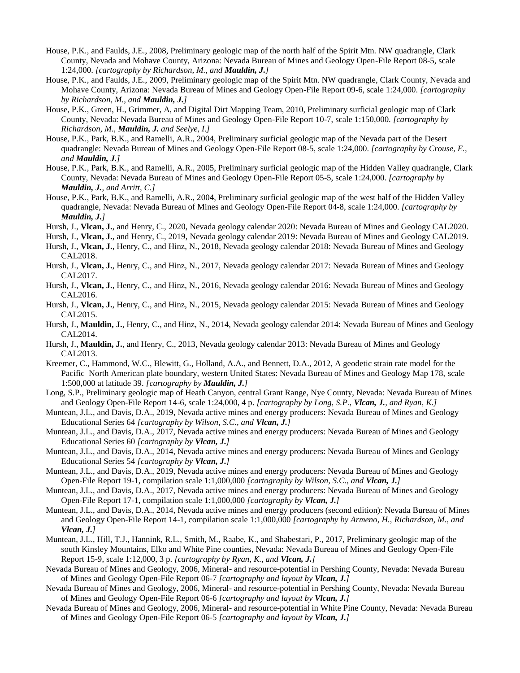- House, P.K., and Faulds, J.E., 2008, Preliminary geologic map of the north half of the Spirit Mtn. NW quadrangle, Clark County, Nevada and Mohave County, Arizona: Nevada Bureau of Mines and Geology Open-File Report 08-5, scale 1:24,000. *[cartography by Richardson, M., and Mauldin, J.]*
- House, P.K., and Faulds, J.E., 2009, Preliminary geologic map of the Spirit Mtn. NW quadrangle, Clark County, Nevada and Mohave County, Arizona: Nevada Bureau of Mines and Geology Open-File Report 09-6, scale 1:24,000. *[cartography by Richardson, M., and Mauldin, J.]*
- House, P.K., Green, H., Grimmer, A, and Digital Dirt Mapping Team, 2010, Preliminary surficial geologic map of Clark County, Nevada: Nevada Bureau of Mines and Geology Open-File Report 10-7, scale 1:150,000. *[cartography by Richardson, M., Mauldin, J. and Seelye, I.]*
- House, P.K., Park, B.K., and Ramelli, A.R., 2004, Preliminary surficial geologic map of the Nevada part of the Desert quadrangle: Nevada Bureau of Mines and Geology Open-File Report 08-5, scale 1:24,000. *[cartography by Crouse, E., and Mauldin, J.]*
- House, P.K., Park, B.K., and Ramelli, A.R., 2005, Preliminary surficial geologic map of the Hidden Valley quadrangle, Clark County, Nevada: Nevada Bureau of Mines and Geology Open-File Report 05-5, scale 1:24,000. *[cartography by Mauldin, J., and Arritt, C.]*
- House, P.K., Park, B.K., and Ramelli, A.R., 2004, Preliminary surficial geologic map of the west half of the Hidden Valley quadrangle, Nevada: Nevada Bureau of Mines and Geology Open-File Report 04-8, scale 1:24,000. *[cartography by Mauldin, J.]*
- Hursh, J., **Vlcan, J.**, and Henry, C., 2020, [Nevada geology calendar 2020:](http://pubs.nbmg.unr.edu/Nevada-geology-calendar-2016-p/cal2016.htm) Nevada Bureau of Mines and Geology CAL2020.
- Hursh, J., **Vlcan, J.**, and Henry, C., 2019, [Nevada geology calendar 2019](http://pubs.nbmg.unr.edu/Nevada-geology-calendar-2016-p/cal2016.htm): Nevada Bureau of Mines and Geology CAL2019.
- Hursh, J., **Vlcan, J.**, Henry, C., and Hinz, N., 2018, [Nevada geology calendar 2018:](http://pubs.nbmg.unr.edu/Nevada-geology-calendar-2016-p/cal2016.htm) Nevada Bureau of Mines and Geology CAL2018.
- Hursh, J., **Vlcan, J.**, Henry, C., and Hinz, N., 2017, [Nevada geology calendar 2017](http://pubs.nbmg.unr.edu/Nevada-geology-calendar-2016-p/cal2016.htm): Nevada Bureau of Mines and Geology CAL2017.
- Hursh, J., **Vlcan, J.**, Henry, C., and Hinz, N., 2016, [Nevada geology calendar 2016](http://pubs.nbmg.unr.edu/Nevada-geology-calendar-2016-p/cal2016.htm): Nevada Bureau of Mines and Geology CAL2016.
- Hursh, J., **Vlcan, J.**, Henry, C., and Hinz, N., 2015, [Nevada geology calendar 2015](http://pubs.nbmg.unr.edu/Nevada-geology-calendar-2016-p/cal2016.htm): Nevada Bureau of Mines and Geology CAL2015.
- Hursh, J., **Mauldin, J.**, Henry, C., and Hinz, N., 2014, [Nevada geology calendar 2014](http://pubs.nbmg.unr.edu/Nevada-geology-calendar-2016-p/cal2016.htm): Nevada Bureau of Mines and Geology CAL2014.
- Hursh, J., **Mauldin, J.**, and Henry, C., 2013, [Nevada geology calendar 2013](http://pubs.nbmg.unr.edu/Nevada-geology-calendar-2016-p/cal2016.htm): Nevada Bureau of Mines and Geology CAL2013.
- Kreemer, C., Hammond, W.C., Blewitt, G., Holland, A.A., and Bennett, D.A., 2012, A geodetic strain rate model for the Pacific–North American plate boundary, western United States: Nevada Bureau of Mines and Geology Map 178, scale 1:500,000 at latitude 39. *[cartography by Mauldin, J.]*
- Long, S.P., Preliminary geologic map of Heath Canyon, central Grant Range, Nye County, Nevada: Nevada Bureau of Mines and Geology Open-File Report 14-6, scale 1:24,000, 4 p. *[cartography by Long, S.P., Vlcan, J., and Ryan, K.]*
- Muntean, J.L., and Davis, D.A., 2019, Nevada active mines and energy producers: Nevada Bureau of Mines and Geology Educational Series 64 *[cartography by Wilson, S.C., and Vlcan, J.]*
- Muntean, J.L., and Davis, D.A., 2017, Nevada active mines and energy producers: Nevada Bureau of Mines and Geology Educational Series 60 *[cartography by Vlcan, J.]*
- Muntean, J.L., and Davis, D.A., 2014, Nevada active mines and energy producers: Nevada Bureau of Mines and Geology Educational Series 54 *[cartography by Vlcan, J.]*
- Muntean, J.L., and Davis, D.A., 2019, Nevada active mines and energy producers: Nevada Bureau of Mines and Geology Open-File Report 19-1, compilation scale 1:1,000,000 *[cartography by Wilson, S.C., and Vlcan, J.]*
- Muntean, J.L., and Davis, D.A., 2017, Nevada active mines and energy producers: Nevada Bureau of Mines and Geology Open-File Report 17-1, compilation scale 1:1,000,000 *[cartography by Vlcan, J.]*
- Muntean, J.L., and Davis, D.A., 2014, Nevada active mines and energy producers (second edition): Nevada Bureau of Mines and Geology Open-File Report 14-1, compilation scale 1:1,000,000 *[cartography by Armeno, H., Richardson, M., and Vlcan, J.]*
- Muntean, J.L., Hill, T.J., Hannink, R.L., Smith, M., Raabe, K., and Shabestari, P., 2017, Preliminary geologic map of the south Kinsley Mountains, Elko and White Pine counties, Nevada: Nevada Bureau of Mines and Geology Open-File Report 15-9, scale 1:12,000, 3 p. *[cartography by Ryan, K., and Vlcan, J.]*
- Nevada Bureau of Mines and Geology, 2006, Mineral- and resource-potential in Pershing County, Nevada: Nevada Bureau of Mines and Geology Open-File Report 06-7 *[cartography and layout by Vlcan, J.]*
- Nevada Bureau of Mines and Geology, 2006, Mineral- and resource-potential in Pershing County, Nevada: Nevada Bureau of Mines and Geology Open-File Report 06-6 *[cartography and layout by Vlcan, J.]*
- Nevada Bureau of Mines and Geology, 2006, Mineral- and resource-potential in White Pine County, Nevada: Nevada Bureau of Mines and Geology Open-File Report 06-5 *[cartography and layout by Vlcan, J.]*